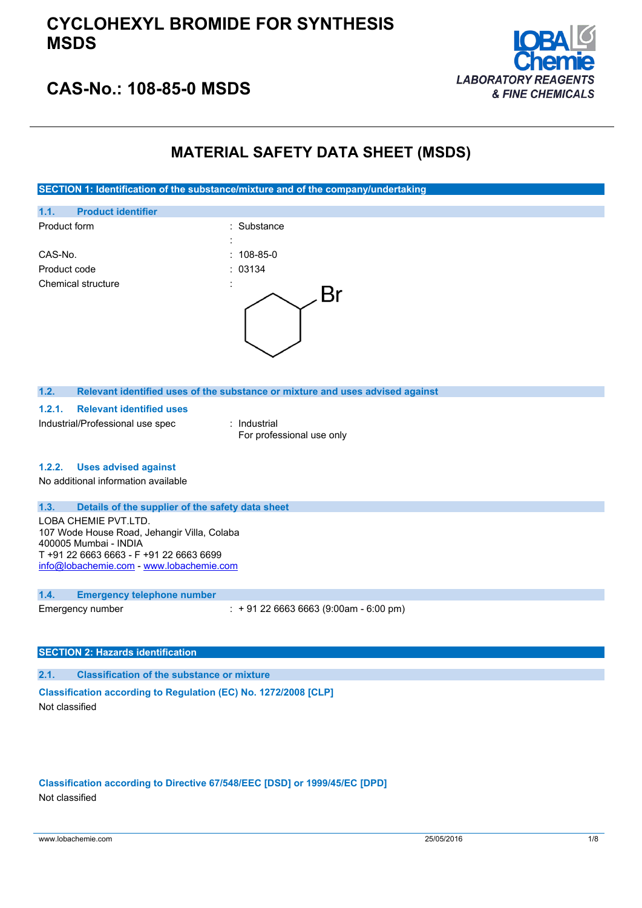

### **CAS-No.: 108-85-0 MSDS**

### **MATERIAL SAFETY DATA SHEET (MSDS)**

**SECTION 1: Identification of the substance/mixture and of the company/undertaking**



Emergency number : + 91 22 6663 6663 (9:00am - 6:00 pm)

#### **SECTION 2: Hazards identification**

**2.1. Classification of the substance or mixture**

**Classification according to Regulation (EC) No. 1272/2008 [CLP]** Not classified

**Classification according to Directive 67/548/EEC [DSD] or 1999/45/EC [DPD]** Not classified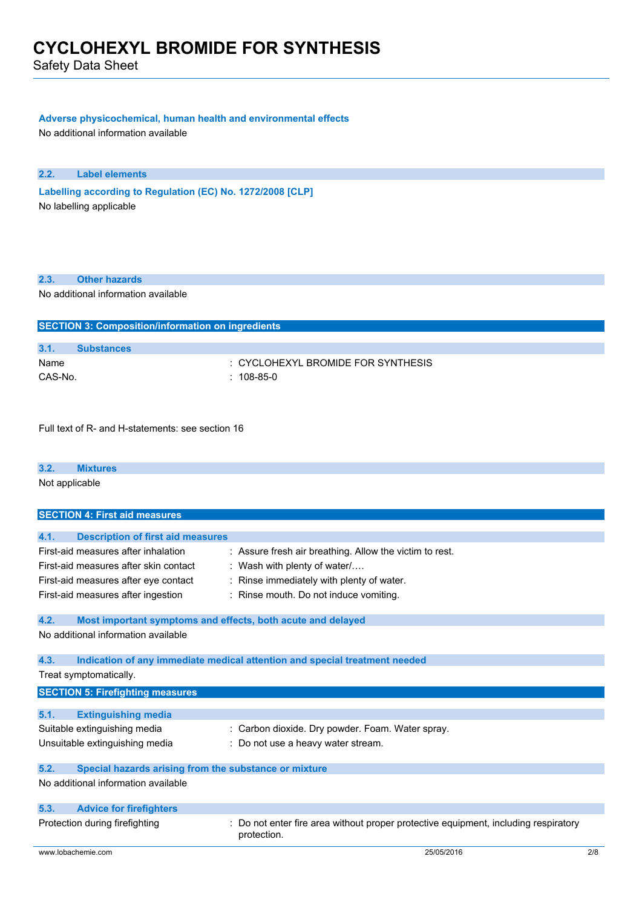Safety Data Sheet

#### **Adverse physicochemical, human health and environmental effects**

No additional information available

**2.2. Label elements**

**Labelling according** to Regulation (EC) No. 1272/2008 [CLP] No labelling applicable

#### **2.3. Other hazards**

No additional information available

| <b>SECTION 3: Composition/information on ingredients</b> |                   |                                    |
|----------------------------------------------------------|-------------------|------------------------------------|
|                                                          |                   |                                    |
| 3.1.                                                     | <b>Substances</b> |                                    |
| Name                                                     |                   | : CYCLOHEXYL BROMIDE FOR SYNTHESIS |
| CAS-No.                                                  |                   | $: 108-85-0$                       |

Full text of R- and H-statements: see section 16

| 3.2. | <b>Mixtures</b>                      |  |  |
|------|--------------------------------------|--|--|
|      | Not applicable                       |  |  |
|      |                                      |  |  |
|      | <b>SECTION 4: First aid measures</b> |  |  |

| 4.1. | <b>Description of first aid measures</b>                                                                                                                   |                                                                                                                                                                                   |
|------|------------------------------------------------------------------------------------------------------------------------------------------------------------|-----------------------------------------------------------------------------------------------------------------------------------------------------------------------------------|
|      | First-aid measures after inhalation<br>First-aid measures after skin contact<br>First-aid measures after eye contact<br>First-aid measures after ingestion | : Assure fresh air breathing. Allow the victim to rest.<br>: Wash with plenty of water $/$<br>: Rinse immediately with plenty of water.<br>: Rinse mouth. Do not induce vomiting. |
| 4.2. | Most important symptoms and effects, both acute and delayed                                                                                                |                                                                                                                                                                                   |
|      | No additional information available                                                                                                                        |                                                                                                                                                                                   |
| 4.3. |                                                                                                                                                            | Indication of any immediate medical attention and special treatment needed                                                                                                        |
|      | Treat symptomatically.                                                                                                                                     |                                                                                                                                                                                   |
|      | <b>SECTION 5: Firefighting measures</b>                                                                                                                    |                                                                                                                                                                                   |
| 5.1. | <b>Extinguishing media</b>                                                                                                                                 |                                                                                                                                                                                   |
|      | Suitable extinguishing media<br>Unsuitable extinguishing media                                                                                             | : Carbon dioxide. Dry powder. Foam. Water spray.<br>: Do not use a heavy water stream.                                                                                            |
| 5.2. | Special hazards arising from the substance or mixture                                                                                                      |                                                                                                                                                                                   |
|      | No additional information available                                                                                                                        |                                                                                                                                                                                   |
| 5.3. | <b>Advice for firefighters</b>                                                                                                                             |                                                                                                                                                                                   |
|      | Protection during firefighting                                                                                                                             | Do not enter fire area without proper protective equipment, including respiratory<br>protection.                                                                                  |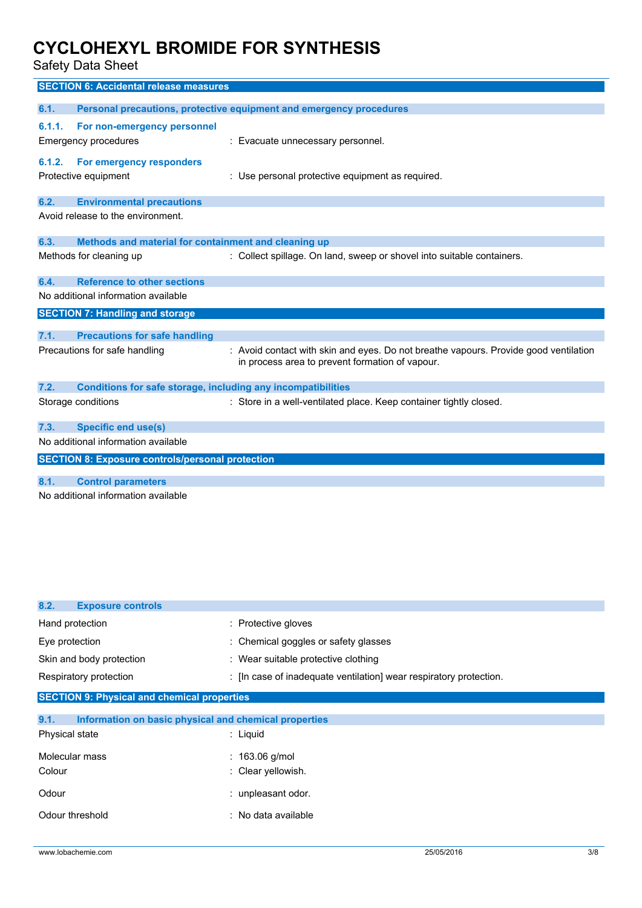Safety Data Sheet

|        | <b>SECTION 6: Accidental release measures</b>                       |                                                                                                                                         |
|--------|---------------------------------------------------------------------|-----------------------------------------------------------------------------------------------------------------------------------------|
| 6.1.   |                                                                     | Personal precautions, protective equipment and emergency procedures                                                                     |
| 6.1.1. | For non-emergency personnel                                         |                                                                                                                                         |
|        | <b>Emergency procedures</b>                                         | : Evacuate unnecessary personnel.                                                                                                       |
|        |                                                                     |                                                                                                                                         |
| 6.1.2. | For emergency responders                                            |                                                                                                                                         |
|        | Protective equipment                                                | : Use personal protective equipment as required.                                                                                        |
| 6.2.   | <b>Environmental precautions</b>                                    |                                                                                                                                         |
|        | Avoid release to the environment.                                   |                                                                                                                                         |
| 6.3.   | Methods and material for containment and cleaning up                |                                                                                                                                         |
|        | Methods for cleaning up                                             | : Collect spillage. On land, sweep or shovel into suitable containers.                                                                  |
| 6.4.   | <b>Reference to other sections</b>                                  |                                                                                                                                         |
|        | No additional information available                                 |                                                                                                                                         |
|        | <b>SECTION 7: Handling and storage</b>                              |                                                                                                                                         |
|        |                                                                     |                                                                                                                                         |
| 7.1.   | <b>Precautions for safe handling</b>                                |                                                                                                                                         |
|        | Precautions for safe handling                                       | : Avoid contact with skin and eyes. Do not breathe vapours. Provide good ventilation<br>in process area to prevent formation of vapour. |
| 7.2.   | <b>Conditions for safe storage, including any incompatibilities</b> |                                                                                                                                         |
|        | Storage conditions                                                  | : Store in a well-ventilated place. Keep container tightly closed.                                                                      |
| 7.3.   | <b>Specific end use(s)</b>                                          |                                                                                                                                         |
|        | No additional information available                                 |                                                                                                                                         |
|        | <b>SECTION 8: Exposure controls/personal protection</b>             |                                                                                                                                         |
|        |                                                                     |                                                                                                                                         |
| 8.1.   | <b>Control parameters</b>                                           |                                                                                                                                         |
|        | No additional information available                                 |                                                                                                                                         |

| <b>Exposure controls</b><br>8.2.                              |                                                                    |
|---------------------------------------------------------------|--------------------------------------------------------------------|
| Hand protection                                               | : Protective gloves                                                |
| Eye protection                                                | : Chemical goggles or safety glasses                               |
| Skin and body protection                                      | : Wear suitable protective clothing                                |
| Respiratory protection                                        | : [In case of inadequate ventilation] wear respiratory protection. |
| <b>SECTION 9: Physical and chemical properties</b>            |                                                                    |
|                                                               |                                                                    |
| 9.1.<br>Information on basic physical and chemical properties |                                                                    |
| <b>Physical state</b>                                         | $:$ Liquid                                                         |
| Molecular mass                                                | : $163.06$ g/mol                                                   |
| Colour                                                        | : Clear yellowish.                                                 |
| Odour                                                         | : unpleasant odor.                                                 |
| Odour threshold                                               | : No data available                                                |
|                                                               |                                                                    |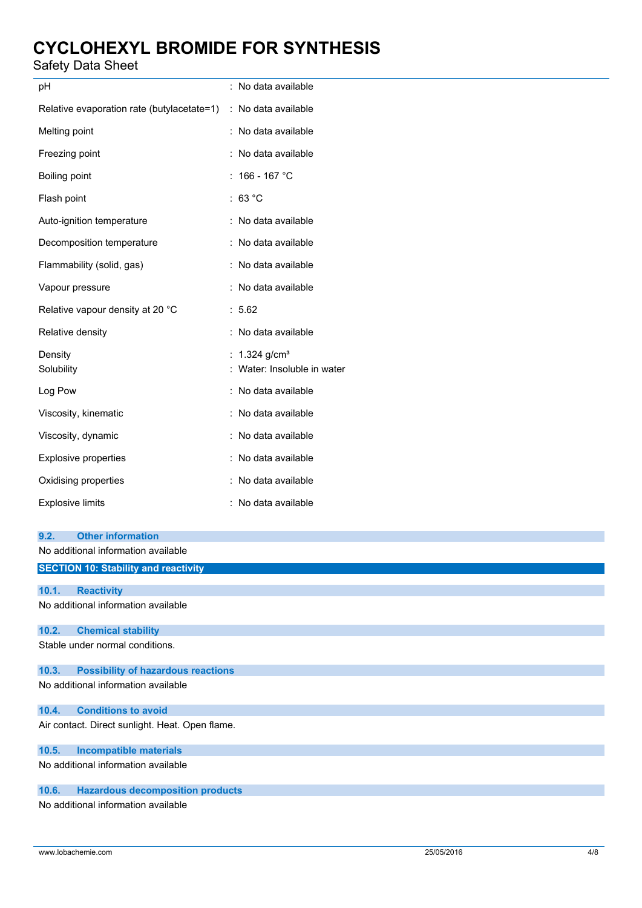### Safety Data Sheet

| рH                                                             | : No data available         |
|----------------------------------------------------------------|-----------------------------|
| Relative evaporation rate (butylacetate=1) : No data available |                             |
| Melting point                                                  | : No data available         |
| Freezing point                                                 | : No data available         |
| Boiling point                                                  | $: 166 - 167 °C$            |
| Flash point                                                    | : $63 °C$                   |
| Auto-ignition temperature                                      | : No data available         |
| Decomposition temperature                                      | : No data available         |
| Flammability (solid, gas)                                      | : No data available         |
| Vapour pressure                                                | : No data available         |
| Relative vapour density at 20 °C                               | : 5.62                      |
| Relative density                                               | : No data available         |
| Density                                                        | : $1.324$ g/cm <sup>3</sup> |
| Solubility                                                     | : Water: Insoluble in water |
| Log Pow                                                        | : No data available         |
| Viscosity, kinematic                                           | : No data available         |
| Viscosity, dynamic                                             | : No data available         |
| Explosive properties                                           | : No data available         |
| Oxidising properties                                           | : No data available         |
| <b>Explosive limits</b>                                        | : No data available         |
| <b>Other information</b><br>9.2.                               |                             |
| No additional information available                            |                             |
| <b>SECTION 10: Stability and reactivity</b>                    |                             |

**10.1. Reactivity** No additional information available

#### **10.2. Chemical stability**

Stable under normal conditions.

### **10.3. Possibility of hazardous reactions**

No additional information available

#### **10.4. Conditions to avoid**

Air contact. Direct sunlight. Heat. Open flame.

#### **10.5. Incompatible materials**

No additional information available

#### **10.6. Hazardous decomposition products**

No additional information available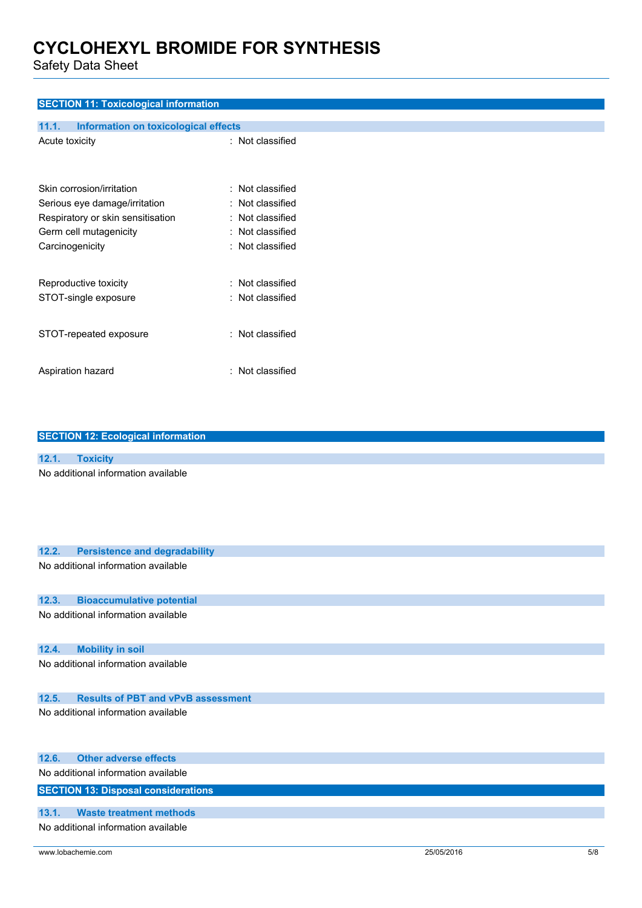Safety Data Sheet

#### **SECTION 11: Toxicological information**

| 11.1.           | Information on toxicological effects |                         |
|-----------------|--------------------------------------|-------------------------|
| Acute toxicity  |                                      | : Not classified        |
|                 | Skin corrosion/irritation            | $\pm$ Not classified    |
|                 | Serious eye damage/irritation        | : Not classified        |
|                 | Respiratory or skin sensitisation    | : Not classified        |
|                 | Germ cell mutagenicity               | : Not classified        |
| Carcinogenicity |                                      | $\colon$ Not classified |
|                 | Reproductive toxicity                | : Not classified        |
|                 | STOT-single exposure                 | : Not classified        |
|                 | STOT-repeated exposure               | $:$ Not classified      |
|                 | Aspiration hazard                    | : Not classified        |

| <b>SECTION 12: Ecological information</b><br>12.1.<br><b>Toxicity</b><br>No additional information available |  |
|--------------------------------------------------------------------------------------------------------------|--|
|                                                                                                              |  |
|                                                                                                              |  |
|                                                                                                              |  |
|                                                                                                              |  |
|                                                                                                              |  |
|                                                                                                              |  |
|                                                                                                              |  |
|                                                                                                              |  |
| 12.2.<br><b>Persistence and degradability</b>                                                                |  |
| No additional information available                                                                          |  |
|                                                                                                              |  |
|                                                                                                              |  |
| 12.3.<br><b>Bioaccumulative potential</b>                                                                    |  |
| No additional information available                                                                          |  |
|                                                                                                              |  |
|                                                                                                              |  |
| <b>Mobility in soil</b><br>12.4.                                                                             |  |
| No additional information available                                                                          |  |
|                                                                                                              |  |
|                                                                                                              |  |
| 12.5.<br><b>Results of PBT and vPvB assessment</b>                                                           |  |
| No additional information available                                                                          |  |
|                                                                                                              |  |

| 12.6. Other adverse effects                |
|--------------------------------------------|
| No additional information available        |
| <b>SECTION 13: Disposal considerations</b> |
|                                            |
| 13.1. Waste treatment methods              |
| No additional information available        |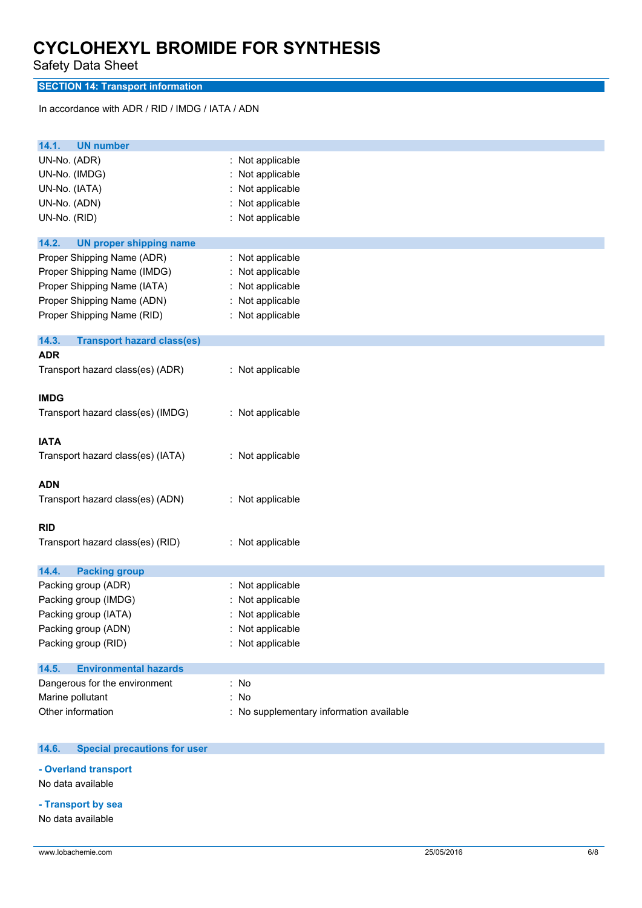Safety Data Sheet

### **SECTION 14: Transport information**

In accordance with ADR / RID / IMDG / IATA / ADN

| <b>UN number</b><br>14.1.                  |                                          |
|--------------------------------------------|------------------------------------------|
| UN-No. (ADR)                               | : Not applicable                         |
| UN-No. (IMDG)                              | Not applicable                           |
| UN-No. (IATA)                              | Not applicable                           |
| UN-No. (ADN)                               | Not applicable                           |
| UN-No. (RID)                               | : Not applicable                         |
| 14.2.<br><b>UN proper shipping name</b>    |                                          |
| Proper Shipping Name (ADR)                 | : Not applicable                         |
| Proper Shipping Name (IMDG)                | Not applicable                           |
| Proper Shipping Name (IATA)                | : Not applicable                         |
| Proper Shipping Name (ADN)                 | : Not applicable                         |
| Proper Shipping Name (RID)                 | : Not applicable                         |
| 14.3.<br><b>Transport hazard class(es)</b> |                                          |
| <b>ADR</b>                                 |                                          |
| Transport hazard class(es) (ADR)           | : Not applicable                         |
| <b>IMDG</b>                                |                                          |
| Transport hazard class(es) (IMDG)          | : Not applicable                         |
| <b>IATA</b>                                |                                          |
| Transport hazard class(es) (IATA)          | : Not applicable                         |
| <b>ADN</b>                                 |                                          |
| Transport hazard class(es) (ADN)           | : Not applicable                         |
| <b>RID</b>                                 |                                          |
| Transport hazard class(es) (RID)           | : Not applicable                         |
| 14.4.<br><b>Packing group</b>              |                                          |
| Packing group (ADR)                        | : Not applicable                         |
| Packing group (IMDG)                       | Not applicable                           |
| Packing group (IATA)                       | Not applicable                           |
| Packing group (ADN)                        | : Not applicable                         |
| Packing group (RID)                        | Not applicable                           |
| <b>Environmental hazards</b><br>14.5.      |                                          |
| Dangerous for the environment              | : No                                     |
| Marine pollutant                           | No                                       |
| Other information                          | : No supplementary information available |

#### $14.6.$ **14.6. Special precautions for user**

**- Overland transport**

No data available

**- Transport by sea**

No data available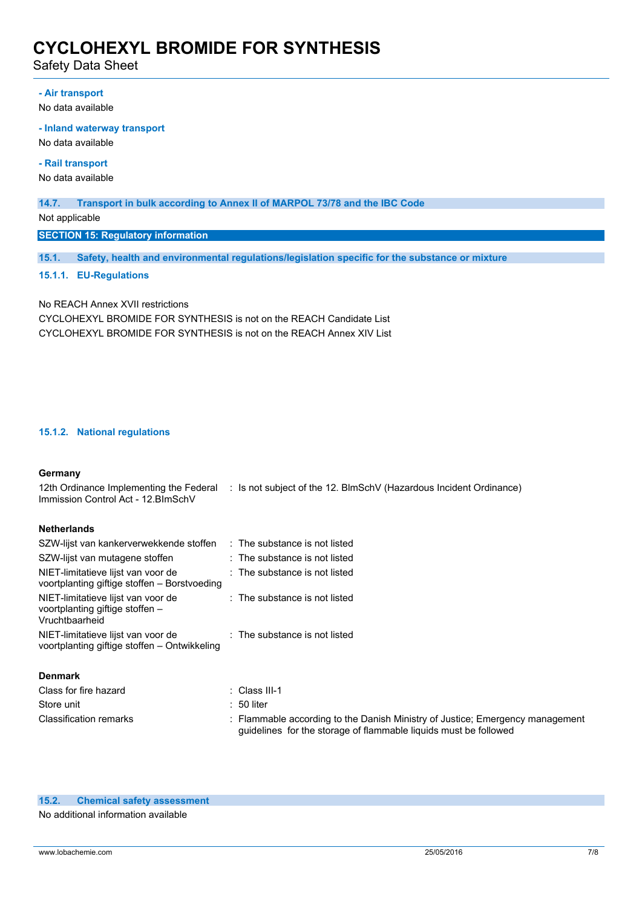Safety Data Sheet

#### **- Air transport**

No data available

#### **- Inland waterway transport**

No data available

**- Rail transport**

No data available

#### **14.7. Transport in bulk according to Annex II of MARPOL 73/78 and the IBC Code**

Not applicable

**SECTION 15: Regulatory information**

**15.1. Safety, health and environmental regulations/legislation specific for the substance or mixture**

#### **15.1.1. EU-Regulations**

No REACH Annex XVII restrictions CYCLOHEXYL BROMIDE FOR SYNTHESIS is not on the REACH Candidate List CYCLOHEXYL BROMIDE FOR SYNTHESIS is not on the REACH Annex XIV List

SZW-lijst van kankerverwekkende stoffen : The substance is not listed

#### **15.1.2. National regulations**

#### **Germany**

12th Ordinance Implementing the Federal : Is not subject of the 12. BlmSchV (Hazardous Incident Ordinance) Immission Control Act - 12.BImSchV

#### **Netherlands**

| SZW-IIIST van Kankerverwekkende stoffen                                                 | : The substance is not listed                                                 |
|-----------------------------------------------------------------------------------------|-------------------------------------------------------------------------------|
| SZW-lijst van mutagene stoffen                                                          | $:$ The substance is not listed                                               |
| NIET-limitatieve lijst van voor de<br>voortplanting giftige stoffen – Borstvoeding      | $\therefore$ The substance is not listed                                      |
| NIET-limitatieve lijst van voor de<br>voortplanting giftige stoffen -<br>Vruchtbaarheid | $\therefore$ The substance is not listed                                      |
| NIET-limitatieve lijst van voor de<br>voortplanting giftige stoffen - Ontwikkeling      | $\therefore$ The substance is not listed                                      |
| <b>Denmark</b>                                                                          |                                                                               |
| Class for fire hazard                                                                   | $\therefore$ Class III-1                                                      |
| Store unit                                                                              | $: 50$ liter                                                                  |
| <b>Classification remarks</b>                                                           | : Flammable according to the Danish Ministry of Justice: Emergency management |

No additional information available

guidelines for the storage of flammable liquids must be followed